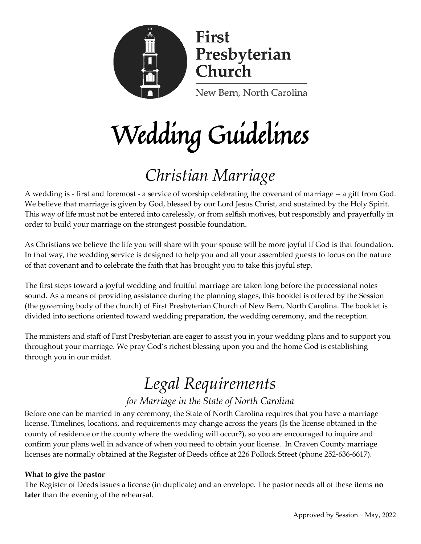

# Wedding Guidelines

# *Christian Marriage*

A wedding is - first and foremost - a service of worship celebrating the covenant of marriage -- a gift from God. We believe that marriage is given by God, blessed by our Lord Jesus Christ, and sustained by the Holy Spirit. This way of life must not be entered into carelessly, or from selfish motives, but responsibly and prayerfully in order to build your marriage on the strongest possible foundation.

As Christians we believe the life you will share with your spouse will be more joyful if God is that foundation. In that way, the wedding service is designed to help you and all your assembled guests to focus on the nature of that covenant and to celebrate the faith that has brought you to take this joyful step.

The first steps toward a joyful wedding and fruitful marriage are taken long before the processional notes sound. As a means of providing assistance during the planning stages, this booklet is offered by the Session (the governing body of the church) of First Presbyterian Church of New Bern, North Carolina. The booklet is divided into sections oriented toward wedding preparation, the wedding ceremony, and the reception.

The ministers and staff of First Presbyterian are eager to assist you in your wedding plans and to support you throughout your marriage. We pray God's richest blessing upon you and the home God is establishing through you in our midst.

# *Legal Requirements*

### *for Marriage in the State of North Carolina*

Before one can be married in any ceremony, the State of North Carolina requires that you have a marriage license. Timelines, locations, and requirements may change across the years (Is the license obtained in the county of residence or the county where the wedding will occur?), so you are encouraged to inquire and confirm your plans well in advance of when you need to obtain your license. In Craven County marriage licenses are normally obtained at the Register of Deeds office at 226 Pollock Street (phone 252-636-6617).

#### **What to give the pastor**

The Register of Deeds issues a license (in duplicate) and an envelope. The pastor needs all of these items **no later** than the evening of the rehearsal.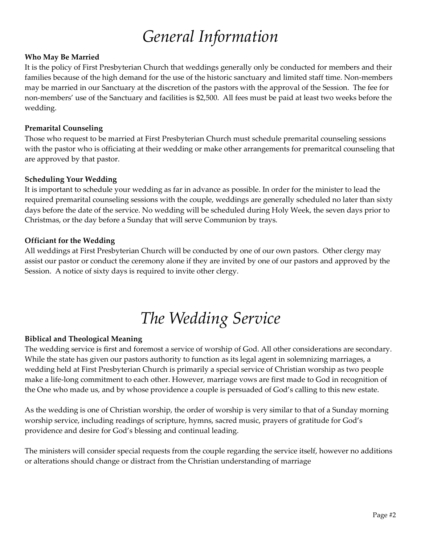# *General Information*

#### **Who May Be Married**

It is the policy of First Presbyterian Church that weddings generally only be conducted for members and their families because of the high demand for the use of the historic sanctuary and limited staff time. Non-members may be married in our Sanctuary at the discretion of the pastors with the approval of the Session. The fee for non-members' use of the Sanctuary and facilities is \$2,500. All fees must be paid at least two weeks before the wedding.

#### **Premarital Counseling**

Those who request to be married at First Presbyterian Church must schedule premarital counseling sessions with the pastor who is officiating at their wedding or make other arrangements for premaritcal counseling that are approved by that pastor.

#### **Scheduling Your Wedding**

It is important to schedule your wedding as far in advance as possible. In order for the minister to lead the required premarital counseling sessions with the couple, weddings are generally scheduled no later than sixty days before the date of the service. No wedding will be scheduled during Holy Week, the seven days prior to Christmas, or the day before a Sunday that will serve Communion by trays.

#### **Officiant for the Wedding**

All weddings at First Presbyterian Church will be conducted by one of our own pastors. Other clergy may assist our pastor or conduct the ceremony alone if they are invited by one of our pastors and approved by the Session. A notice of sixty days is required to invite other clergy.

# *The Wedding Service*

#### **Biblical and Theological Meaning**

The wedding service is first and foremost a service of worship of God. All other considerations are secondary. While the state has given our pastors authority to function as its legal agent in solemnizing marriages, a wedding held at First Presbyterian Church is primarily a special service of Christian worship as two people make a life-long commitment to each other. However, marriage vows are first made to God in recognition of the One who made us, and by whose providence a couple is persuaded of God's calling to this new estate.

As the wedding is one of Christian worship, the order of worship is very similar to that of a Sunday morning worship service, including readings of scripture, hymns, sacred music, prayers of gratitude for God's providence and desire for God's blessing and continual leading.

The ministers will consider special requests from the couple regarding the service itself, however no additions or alterations should change or distract from the Christian understanding of marriage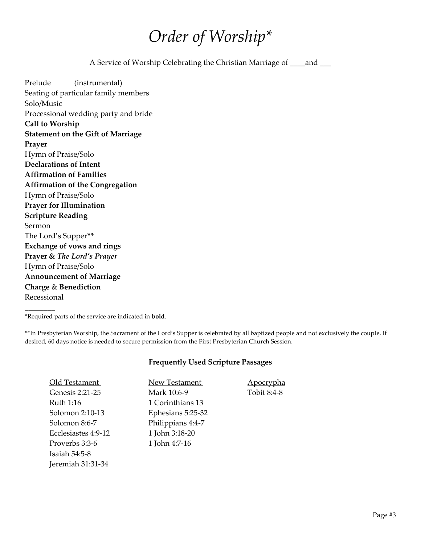### *Order of Worship\**

A Service of Worship Celebrating the Christian Marriage of \_\_\_\_and \_\_\_

Prelude (instrumental) Seating of particular family members Solo/Music Processional wedding party and bride **Call to Worship Statement on the Gift of Marriage Prayer** Hymn of Praise/Solo **Declarations of Intent Affirmation of Families Affirmation of the Congregation** Hymn of Praise/Solo **Prayer for Illumination Scripture Reading** Sermon The Lord's Supper**\*\* Exchange of vows and rings Prayer &** *The Lord's Prayer*  Hymn of Praise/Solo **Announcement of Marriage Charge** & **Benediction** Recessional

**\***Required parts of the service are indicated in **bold**.

**\_\_\_\_\_\_\_\_**

**\*\***In Presbyterian Worship, the Sacrament of the Lord's Supper is celebrated by all baptized people and not exclusively the couple. If desired, 60 days notice is needed to secure permission from the First Presbyterian Church Session.

#### **Frequently Used Scripture Passages**

| Old Testament       | New Testament     |
|---------------------|-------------------|
| Genesis 2:21-25     | Mark 10:6-9       |
| Ruth 1:16           | 1 Corinthians 13  |
| Solomon 2:10-13     | Ephesians 5:25-32 |
| Solomon 8:6-7       | Philippians 4:4-7 |
| Ecclesiastes 4:9-12 | 1 John 3:18-20    |
| Proverbs 3:3-6      | 1 John 4:7-16     |
| Isaiah $54:5-8$     |                   |
| Jeremiah 31:31-34   |                   |

ment Apocrypha 9 Tobit 8:4-8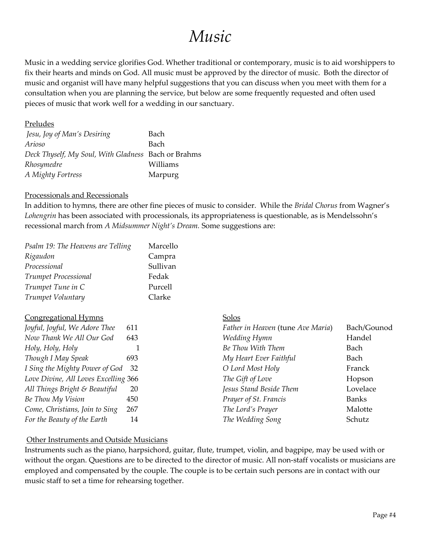### *Music*

Music in a wedding service glorifies God. Whether traditional or contemporary, music is to aid worshippers to fix their hearts and minds on God. All music must be approved by the director of music. Both the director of music and organist will have many helpful suggestions that you can discuss when you meet with them for a consultation when you are planning the service, but below are some frequently requested and often used pieces of music that work well for a wedding in our sanctuary.

#### Preludes

| Jesu, Joy of Man's Desiring                         | Bach     |
|-----------------------------------------------------|----------|
| Arioso                                              | Bach     |
| Deck Thyself, My Soul, With Gladness Bach or Brahms |          |
| Rhosymedre                                          | Williams |
| A Mighty Fortress                                   | Marpurg  |

#### Processionals and Recessionals

In addition to hymns, there are other fine pieces of music to consider. While the *Bridal Chorus* from Wagner's *Lohengrin* has been associated with processionals, its appropriateness is questionable, as is Mendelssohn's recessional march from *A Midsummer Night's Dream.* Some suggestions are:

| Psalm 19: The Heavens are Telling | Marcello |
|-----------------------------------|----------|
| Rigaudon                          | Campra   |
| Processional                      | Sullivan |
| Trumpet Processional              | Fedak    |
| Trumpet Tune in C                 | Purcell  |
| Trumpet Voluntary                 | Clarke   |
|                                   |          |

| <b>Congregational Hymns</b>          |     | Solos                             |             |
|--------------------------------------|-----|-----------------------------------|-------------|
| Joyful, Joyful, We Adore Thee        | 611 | Father in Heaven (tune Ave Maria) | Bach/Gounod |
| Now Thank We All Our God             | 643 | Wedding Hymn                      | Handel      |
| Holy, Holy, Holy                     |     | Be Thou With Them                 | Bach        |
| Though I May Speak                   | 693 | My Heart Ever Faithful            | Bach        |
| I Sing the Mighty Power of God 32    |     | O Lord Most Holy                  | Franck      |
| Love Divine, All Loves Excelling 366 |     | The Gift of Love                  | Hopson      |
| All Things Bright & Beautiful        | 20  | Jesus Stand Beside Them           | Lovelace    |
| Be Thou My Vision                    | 450 | Prayer of St. Francis             | Banks       |
| Come, Christians, Join to Sing       | 267 | The Lord's Prayer                 | Malotte     |
| For the Beauty of the Earth          | 14  | The Wedding Song                  | Schutz      |

#### Other Instruments and Outside Musicians

Instruments such as the piano, harpsichord, guitar, flute, trumpet, violin, and bagpipe, may be used with or without the organ. Questions are to be directed to the director of music. All non-staff vocalists or musicians are employed and compensated by the couple. The couple is to be certain such persons are in contact with our music staff to set a time for rehearsing together.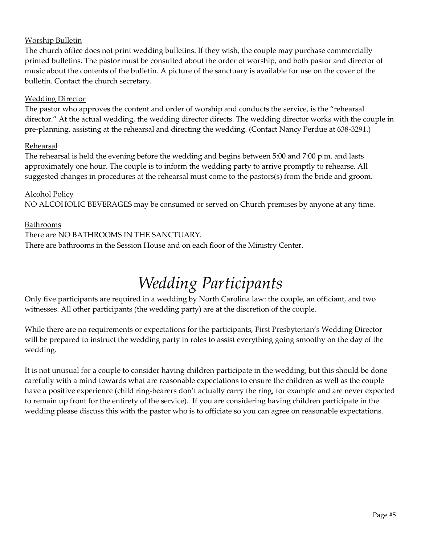#### Worship Bulletin

The church office does not print wedding bulletins. If they wish, the couple may purchase commercially printed bulletins. The pastor must be consulted about the order of worship, and both pastor and director of music about the contents of the bulletin. A picture of the sanctuary is available for use on the cover of the bulletin. Contact the church secretary.

#### Wedding Director

The pastor who approves the content and order of worship and conducts the service, is the "rehearsal director." At the actual wedding, the wedding director directs. The wedding director works with the couple in pre-planning, assisting at the rehearsal and directing the wedding. (Contact Nancy Perdue at 638-3291.)

#### Rehearsal

The rehearsal is held the evening before the wedding and begins between 5:00 and 7:00 p.m. and lasts approximately one hour. The couple is to inform the wedding party to arrive promptly to rehearse. All suggested changes in procedures at the rehearsal must come to the pastors(s) from the bride and groom.

#### Alcohol Policy

NO ALCOHOLIC BEVERAGES may be consumed or served on Church premises by anyone at any time.

#### Bathrooms

#### There are NO BATHROOMS IN THE SANCTUARY.

There are bathrooms in the Session House and on each floor of the Ministry Center.

# *Wedding Participants*

Only five participants are required in a wedding by North Carolina law: the couple, an officiant, and two witnesses. All other participants (the wedding party) are at the discretion of the couple.

While there are no requirements or expectations for the participants, First Presbyterian's Wedding Director will be prepared to instruct the wedding party in roles to assist everything going smoothy on the day of the wedding.

It is not unusual for a couple to consider having children participate in the wedding, but this should be done carefully with a mind towards what are reasonable expectations to ensure the children as well as the couple have a positive experience (child ring-bearers don't actually carry the ring, for example and are never expected to remain up front for the entirety of the service). If you are considering having children participate in the wedding please discuss this with the pastor who is to officiate so you can agree on reasonable expectations.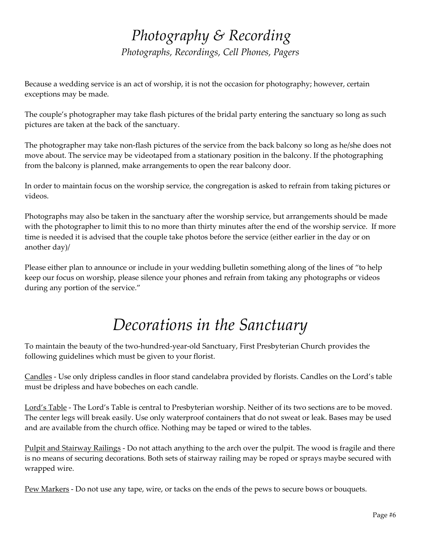### *Photography & Recording Photographs, Recordings, Cell Phones, Pagers*

Because a wedding service is an act of worship, it is not the occasion for photography; however, certain exceptions may be made.

The couple's photographer may take flash pictures of the bridal party entering the sanctuary so long as such pictures are taken at the back of the sanctuary.

The photographer may take non-flash pictures of the service from the back balcony so long as he/she does not move about. The service may be videotaped from a stationary position in the balcony. If the photographing from the balcony is planned, make arrangements to open the rear balcony door.

In order to maintain focus on the worship service, the congregation is asked to refrain from taking pictures or videos.

Photographs may also be taken in the sanctuary after the worship service, but arrangements should be made with the photographer to limit this to no more than thirty minutes after the end of the worship service. If more time is needed it is advised that the couple take photos before the service (either earlier in the day or on another day)/

Please either plan to announce or include in your wedding bulletin something along of the lines of "to help keep our focus on worship, please silence your phones and refrain from taking any photographs or videos during any portion of the service."

# *Decorations in the Sanctuary*

To maintain the beauty of the two-hundred-year-old Sanctuary, First Presbyterian Church provides the following guidelines which must be given to your florist.

Candles - Use only dripless candles in floor stand candelabra provided by florists. Candles on the Lord's table must be dripless and have bobeches on each candle.

Lord's Table - The Lord's Table is central to Presbyterian worship. Neither of its two sections are to be moved. The center legs will break easily. Use only waterproof containers that do not sweat or leak. Bases may be used and are available from the church office. Nothing may be taped or wired to the tables.

Pulpit and Stairway Railings - Do not attach anything to the arch over the pulpit. The wood is fragile and there is no means of securing decorations. Both sets of stairway railing may be roped or sprays maybe secured with wrapped wire.

Pew Markers - Do not use any tape, wire, or tacks on the ends of the pews to secure bows or bouquets.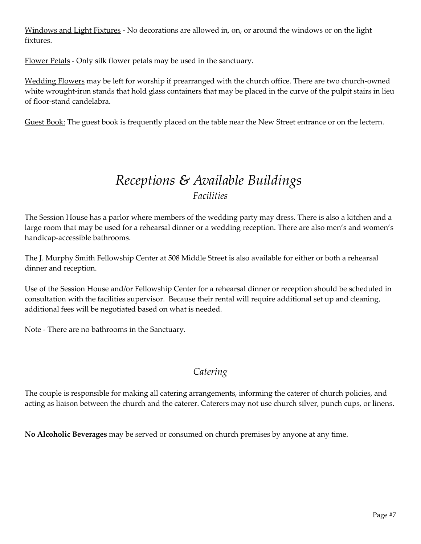Windows and Light Fixtures - No decorations are allowed in, on, or around the windows or on the light fixtures.

Flower Petals - Only silk flower petals may be used in the sanctuary.

Wedding Flowers may be left for worship if prearranged with the church office. There are two church-owned white wrought-iron stands that hold glass containers that may be placed in the curve of the pulpit stairs in lieu of floor-stand candelabra.

Guest Book: The guest book is frequently placed on the table near the New Street entrance or on the lectern.

### *Receptions & Available Buildings Facilities*

The Session House has a parlor where members of the wedding party may dress. There is also a kitchen and a large room that may be used for a rehearsal dinner or a wedding reception. There are also men's and women's handicap-accessible bathrooms.

The J. Murphy Smith Fellowship Center at 508 Middle Street is also available for either or both a rehearsal dinner and reception.

Use of the Session House and/or Fellowship Center for a rehearsal dinner or reception should be scheduled in consultation with the facilities supervisor. Because their rental will require additional set up and cleaning, additional fees will be negotiated based on what is needed.

Note - There are no bathrooms in the Sanctuary.

### *Catering*

The couple is responsible for making all catering arrangements, informing the caterer of church policies, and acting as liaison between the church and the caterer. Caterers may not use church silver, punch cups, or linens.

**No Alcoholic Beverages** may be served or consumed on church premises by anyone at any time.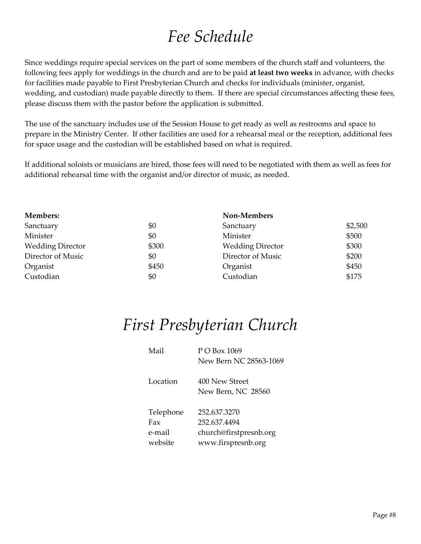### *Fee Schedule*

Since weddings require special services on the part of some members of the church staff and volunteers, the following fees apply for weddings in the church and are to be paid **at least two weeks** in advance, with checks for facilities made payable to First Presbyterian Church and checks for individuals (minister, organist, wedding, and custodian) made payable directly to them. If there are special circumstances affecting these fees, please discuss them with the pastor before the application is submitted.

The use of the sanctuary includes use of the Session House to get ready as well as restrooms and space to prepare in the Ministry Center. If other facilities are used for a rehearsal meal or the reception, additional fees for space usage and the custodian will be established based on what is required.

If additional soloists or musicians are hired, those fees will need to be negotiated with them as well as fees for additional rehearsal time with the organist and/or director of music, as needed.

| <b>Members:</b>         |       | Non-Members             |         |
|-------------------------|-------|-------------------------|---------|
| Sanctuary               | \$0   | Sanctuary               | \$2,500 |
| Minister                | \$0   | Minister                | \$500   |
| <b>Wedding Director</b> | \$300 | <b>Wedding Director</b> | \$300   |
| Director of Music       | \$0   | Director of Music       | \$200   |
| Organist                | \$450 | Organist                | \$450   |
| Custodian               | \$0   | Custodian               | \$175   |

### *First Presbyterian Church*

| Mail      | $P \bigcap \text{Box} 1069$ |
|-----------|-----------------------------|
|           | New Bern NC 28563-1069      |
| Location  | 400 New Street              |
|           | New Bern, NC 28560          |
| Telephone | 252.637.3270                |
| Fax       | 252.637.4494                |
| e-mail    | church@firstpresnb.org      |
| website   | www.firspresnb.org          |
|           |                             |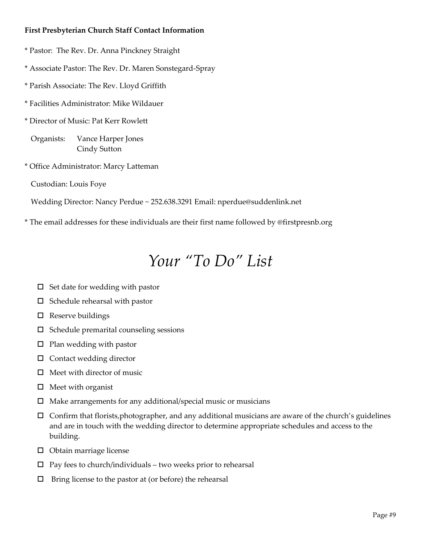#### **First Presbyterian Church Staff Contact Information**

- \* Pastor: The Rev. Dr. Anna Pinckney Straight
- \* Associate Pastor: The Rev. Dr. Maren Sonstegard-Spray
- \* Parish Associate: The Rev. Lloyd Griffith
- \* Facilities Administrator: Mike Wildauer
- \* Director of Music: Pat Kerr Rowlett

Organists: Vance Harper Jones Cindy Sutton

\* Office Administrator: Marcy Latteman

Custodian: Louis Foye

Wedding Director: Nancy Perdue ~ 252.638.3291 Email: nperdue@suddenlink.net

\* The email addresses for these individuals are their first name followed by @firstpresnb.org

### *Your "To Do" List*

- $\square$  Set date for wedding with pastor
- $\square$  Schedule rehearsal with pastor
- $\square$  Reserve buildings
- $\square$  Schedule premarital counseling sessions
- $\square$  Plan wedding with pastor
- $\square$  Contact wedding director
- $\Box$  Meet with director of music
- $\Box$  Meet with organist
- $\Box$  Make arrangements for any additional/special music or musicians
- $\Box$  Confirm that florists, photographer, and any additional musicians are aware of the church's guidelines and are in touch with the wedding director to determine appropriate schedules and access to the building.
- $\Box$  Obtain marriage license
- $\square$  Pay fees to church/individuals two weeks prior to rehearsal
- $\square$  Bring license to the pastor at (or before) the rehearsal